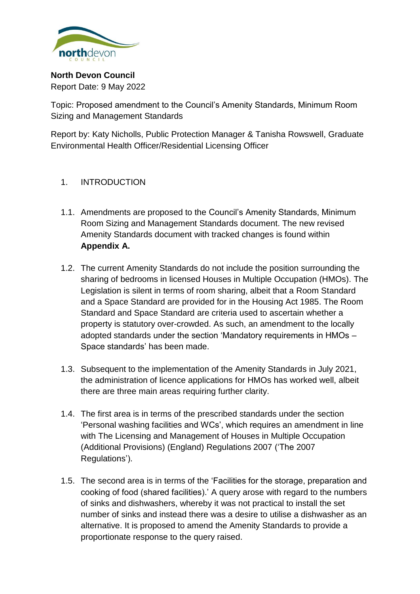

**North Devon Council** Report Date: 9 May 2022

Topic: Proposed amendment to the Council's Amenity Standards, Minimum Room Sizing and Management Standards

Report by: Katy Nicholls, Public Protection Manager & Tanisha Rowswell, Graduate Environmental Health Officer/Residential Licensing Officer

- 1. INTRODUCTION
- 1.1. Amendments are proposed to the Council's Amenity Standards, Minimum Room Sizing and Management Standards document. The new revised Amenity Standards document with tracked changes is found within **Appendix A.**
- 1.2. The current Amenity Standards do not include the position surrounding the sharing of bedrooms in licensed Houses in Multiple Occupation (HMOs). The Legislation is silent in terms of room sharing, albeit that a Room Standard and a Space Standard are provided for in the Housing Act 1985. The Room Standard and Space Standard are criteria used to ascertain whether a property is statutory over-crowded. As such, an amendment to the locally adopted standards under the section 'Mandatory requirements in HMOs – Space standards' has been made.
- 1.3. Subsequent to the implementation of the Amenity Standards in July 2021, the administration of licence applications for HMOs has worked well, albeit there are three main areas requiring further clarity.
- 1.4. The first area is in terms of the prescribed standards under the section 'Personal washing facilities and WCs', which requires an amendment in line with The Licensing and Management of Houses in Multiple Occupation (Additional Provisions) (England) Regulations 2007 ('The 2007 Regulations').
- 1.5. The second area is in terms of the 'Facilities for the storage, preparation and cooking of food (shared facilities).' A query arose with regard to the numbers of sinks and dishwashers, whereby it was not practical to install the set number of sinks and instead there was a desire to utilise a dishwasher as an alternative. It is proposed to amend the Amenity Standards to provide a proportionate response to the query raised.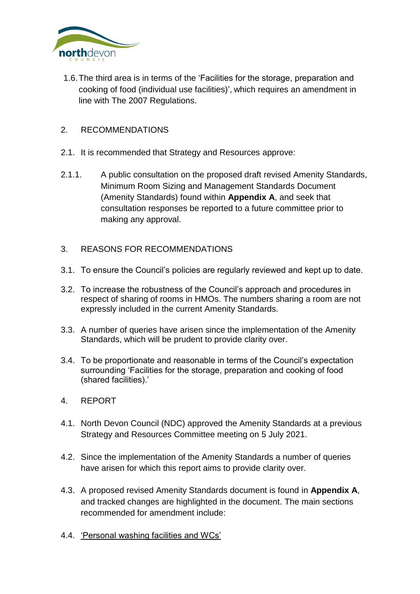

1.6.The third area is in terms of the 'Facilities for the storage, preparation and cooking of food (individual use facilities)', which requires an amendment in line with The 2007 Regulations.

### 2. RECOMMENDATIONS

- 2.1. It is recommended that Strategy and Resources approve:
- 2.1.1. A public consultation on the proposed draft revised Amenity Standards, Minimum Room Sizing and Management Standards Document (Amenity Standards) found within **Appendix A**, and seek that consultation responses be reported to a future committee prior to making any approval.
- 3. REASONS FOR RECOMMENDATIONS
- 3.1. To ensure the Council's policies are regularly reviewed and kept up to date.
- 3.2. To increase the robustness of the Council's approach and procedures in respect of sharing of rooms in HMOs. The numbers sharing a room are not expressly included in the current Amenity Standards.
- 3.3. A number of queries have arisen since the implementation of the Amenity Standards, which will be prudent to provide clarity over.
- 3.4. To be proportionate and reasonable in terms of the Council's expectation surrounding 'Facilities for the storage, preparation and cooking of food (shared facilities).'
- 4. REPORT
- 4.1. North Devon Council (NDC) approved the Amenity Standards at a previous Strategy and Resources Committee meeting on 5 July 2021.
- 4.2. Since the implementation of the Amenity Standards a number of queries have arisen for which this report aims to provide clarity over.
- 4.3. A proposed revised Amenity Standards document is found in **Appendix A**, and tracked changes are highlighted in the document. The main sections recommended for amendment include:
- 4.4. 'Personal washing facilities and WCs'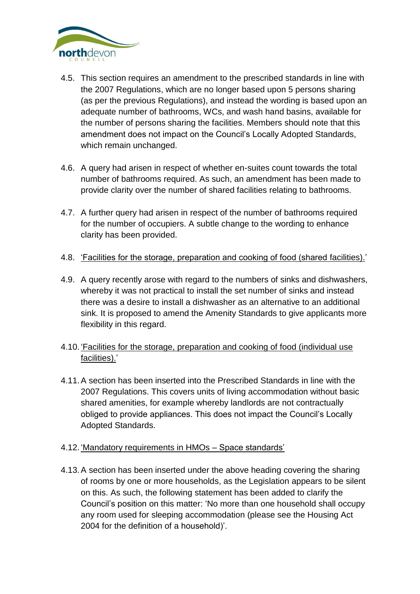

- 4.5. This section requires an amendment to the prescribed standards in line with the 2007 Regulations, which are no longer based upon 5 persons sharing (as per the previous Regulations), and instead the wording is based upon an adequate number of bathrooms, WCs, and wash hand basins, available for the number of persons sharing the facilities. Members should note that this amendment does not impact on the Council's Locally Adopted Standards, which remain unchanged.
- 4.6. A query had arisen in respect of whether en-suites count towards the total number of bathrooms required. As such, an amendment has been made to provide clarity over the number of shared facilities relating to bathrooms.
- 4.7. A further query had arisen in respect of the number of bathrooms required for the number of occupiers. A subtle change to the wording to enhance clarity has been provided.
- 4.8. 'Facilities for the storage, preparation and cooking of food (shared facilities).'
- 4.9. A query recently arose with regard to the numbers of sinks and dishwashers, whereby it was not practical to install the set number of sinks and instead there was a desire to install a dishwasher as an alternative to an additional sink. It is proposed to amend the Amenity Standards to give applicants more flexibility in this regard.
- 4.10. 'Facilities for the storage, preparation and cooking of food (individual use facilities).'
- 4.11.A section has been inserted into the Prescribed Standards in line with the 2007 Regulations. This covers units of living accommodation without basic shared amenities, for example whereby landlords are not contractually obliged to provide appliances. This does not impact the Council's Locally Adopted Standards.
- 4.12. 'Mandatory requirements in HMOs Space standards'
- 4.13.A section has been inserted under the above heading covering the sharing of rooms by one or more households, as the Legislation appears to be silent on this. As such, the following statement has been added to clarify the Council's position on this matter: 'No more than one household shall occupy any room used for sleeping accommodation (please see the Housing Act 2004 for the definition of a household)'.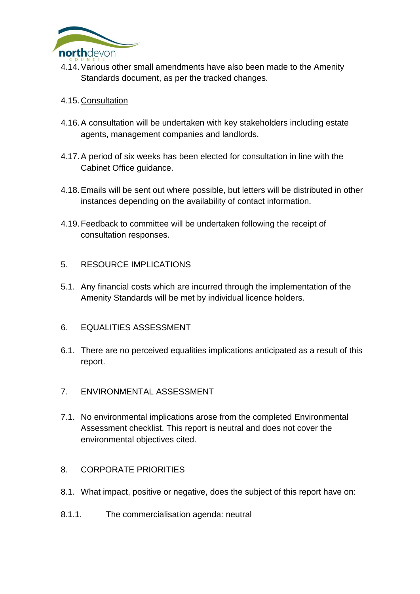

- 4.14.Various other small amendments have also been made to the Amenity Standards document, as per the tracked changes.
- 4.15.Consultation
- 4.16.A consultation will be undertaken with key stakeholders including estate agents, management companies and landlords.
- 4.17.A period of six weeks has been elected for consultation in line with the Cabinet Office guidance.
- 4.18.Emails will be sent out where possible, but letters will be distributed in other instances depending on the availability of contact information.
- 4.19.Feedback to committee will be undertaken following the receipt of consultation responses.
- 5. RESOURCE IMPLICATIONS
- 5.1. Any financial costs which are incurred through the implementation of the Amenity Standards will be met by individual licence holders.
- 6. EQUALITIES ASSESSMENT
- 6.1. There are no perceived equalities implications anticipated as a result of this report.
- 7. ENVIRONMENTAL ASSESSMENT
- 7.1. No environmental implications arose from the completed Environmental Assessment checklist. This report is neutral and does not cover the environmental objectives cited.
- 8. CORPORATE PRIORITIES
- 8.1. What impact, positive or negative, does the subject of this report have on:
- 8.1.1. The commercialisation agenda: neutral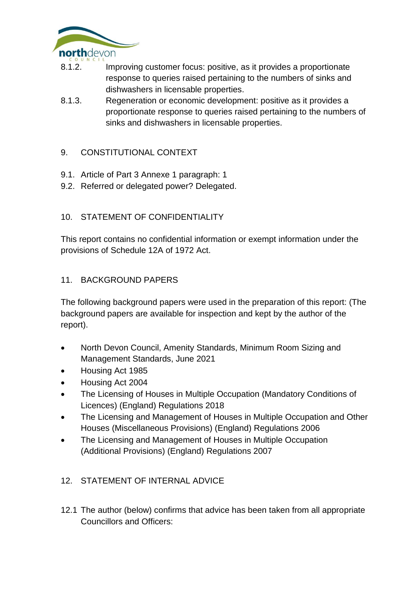

- 8.1.2. Improving customer focus: positive, as it provides a proportionate response to queries raised pertaining to the numbers of sinks and dishwashers in licensable properties.
- 8.1.3. Regeneration or economic development: positive as it provides a proportionate response to queries raised pertaining to the numbers of sinks and dishwashers in licensable properties.

# 9. CONSTITUTIONAL CONTEXT

- 9.1. Article of Part 3 Annexe 1 paragraph: 1
- 9.2. Referred or delegated power? Delegated.

## 10. STATEMENT OF CONFIDENTIALITY

This report contains no confidential information or exempt information under the provisions of Schedule 12A of 1972 Act.

## 11. BACKGROUND PAPERS

The following background papers were used in the preparation of this report: (The background papers are available for inspection and kept by the author of the report).

- North Devon Council, Amenity Standards, Minimum Room Sizing and Management Standards, June 2021
- Housing Act 1985
- Housing Act 2004
- The Licensing of Houses in Multiple Occupation (Mandatory Conditions of Licences) (England) Regulations 2018
- The Licensing and Management of Houses in Multiple Occupation and Other Houses (Miscellaneous Provisions) (England) Regulations 2006
- The Licensing and Management of Houses in Multiple Occupation (Additional Provisions) (England) Regulations 2007

# 12. STATEMENT OF INTERNAL ADVICE

12.1 The author (below) confirms that advice has been taken from all appropriate Councillors and Officers: